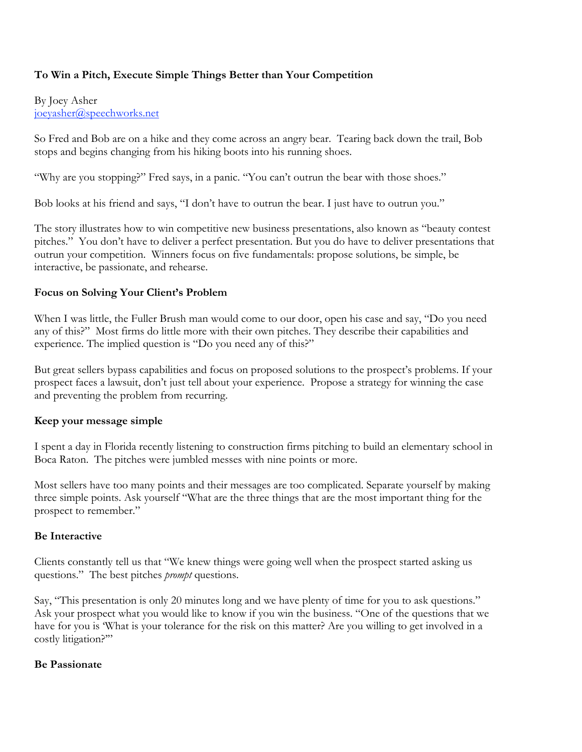## **To Win a Pitch, Execute Simple Things Better than Your Competition**

By Joey Asher joeyasher@speechworks.net

So Fred and Bob are on a hike and they come across an angry bear. Tearing back down the trail, Bob stops and begins changing from his hiking boots into his running shoes.

"Why are you stopping?" Fred says, in a panic. "You can't outrun the bear with those shoes."

Bob looks at his friend and says, "I don't have to outrun the bear. I just have to outrun you."

The story illustrates how to win competitive new business presentations, also known as "beauty contest pitches." You don't have to deliver a perfect presentation. But you do have to deliver presentations that outrun your competition. Winners focus on five fundamentals: propose solutions, be simple, be interactive, be passionate, and rehearse.

#### **Focus on Solving Your Client's Problem**

When I was little, the Fuller Brush man would come to our door, open his case and say, "Do you need any of this?" Most firms do little more with their own pitches. They describe their capabilities and experience. The implied question is "Do you need any of this?"

But great sellers bypass capabilities and focus on proposed solutions to the prospect's problems. If your prospect faces a lawsuit, don't just tell about your experience. Propose a strategy for winning the case and preventing the problem from recurring.

### **Keep your message simple**

I spent a day in Florida recently listening to construction firms pitching to build an elementary school in Boca Raton. The pitches were jumbled messes with nine points or more.

Most sellers have too many points and their messages are too complicated. Separate yourself by making three simple points. Ask yourself "What are the three things that are the most important thing for the prospect to remember."

#### **Be Interactive**

Clients constantly tell us that "We knew things were going well when the prospect started asking us questions." The best pitches *prompt* questions.

Say, "This presentation is only 20 minutes long and we have plenty of time for you to ask questions." Ask your prospect what you would like to know if you win the business. "One of the questions that we have for you is 'What is your tolerance for the risk on this matter? Are you willing to get involved in a costly litigation?'"

#### **Be Passionate**